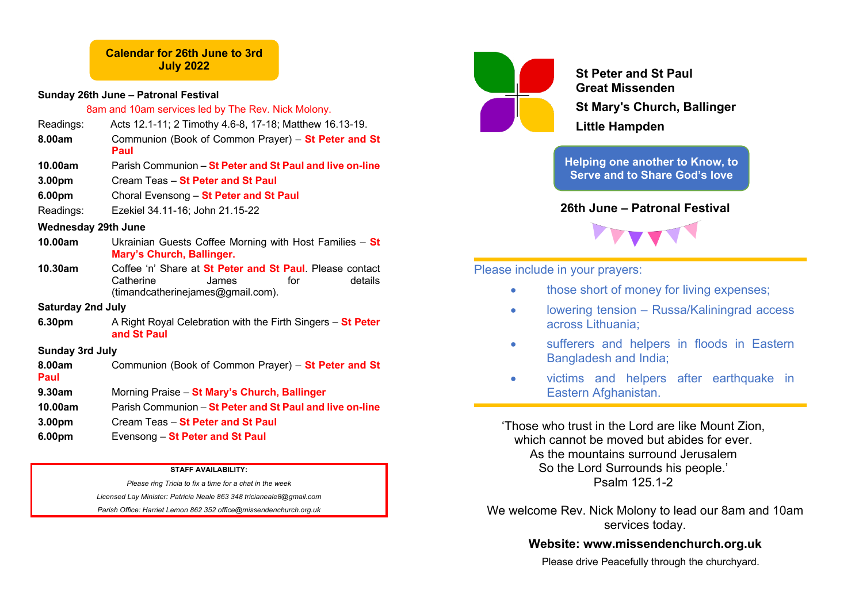# **Calendar for 26th June to 3rd July 2022**

#### **Sunday 26th June – Patronal Festival**

8am and 10am services led by The Rev. Nick Molony.

- Readings: Acts 12.1-11; 2 Timothy 4.6-8, 17-18; Matthew 16.13-19.
- **8.00am** Communion (Book of Common Prayer) **St Peter and St Paul**
- **10.00am** Parish Communion **St Peter and St Paul and live on-line**
- **3.00pm** Cream Teas **St Peter and St Paul**
- **6.00pm** Choral Evensong **St Peter and St Paul**
- Readings: Ezekiel 34.11-16; John 21.15-22

#### **Wednesday 29th June**

- **10.00am** Ukrainian Guests Coffee Morning with Host Families **St Mary's Church, Ballinger.**
- **10.30am** Coffee 'n' Share at **St Peter and St Paul**. Please contact Catherine **James** for details (timandcatherinejames@gmail.com).

#### **Saturday 2nd July**

**6.30pm** A Right Royal Celebration with the Firth Singers – **St Peter and St Paul**

### **Sunday 3rd July**

- **8.00am** Communion (Book of Common Prayer) **St Peter and St**
- **Paul**
- **9.30am** Morning Praise **St Mary's Church, Ballinger**
- **10.00am** Parish Communion **St Peter and St Paul and live on-line**
- **3.00pm** Cream Teas **St Peter and St Paul**
- **6.00pm** Evensong **St Peter and St Paul**

**STAFF AVAILABILITY:**

*Please ring Tricia to fix a time for a chat in the week Licensed Lay Minister: Patricia Neale 863 348 tricianeale8@gmail.com*

*Parish Office: Harriet Lemon 862 352 office@missendenchurch.org.uk*



**St Peter and St Paul Great Missenden St Mary's Church, Ballinger Little Hampden**

**Helping one another to Know, to Serve and to Share God's love**

# **26th June – Patronal Festival**



### Please include in your prayers:

- those short of money for living expenses;
- lowering tension Russa/Kaliningrad access across Lithuania;
- sufferers and helpers in floods in Eastern Bangladesh and India;
- victims and helpers after earthquake in Eastern Afghanistan.

'Those who trust in the Lord are like Mount Zion, which cannot be moved but abides for ever. As the mountains surround Jerusalem So the Lord Surrounds his people.' Psalm 125.1-2

We welcome Rev. Nick Molony to lead our 8am and 10am services today.

# **Website: www.missendenchurch.org.uk**

Please drive Peacefully through the churchyard.